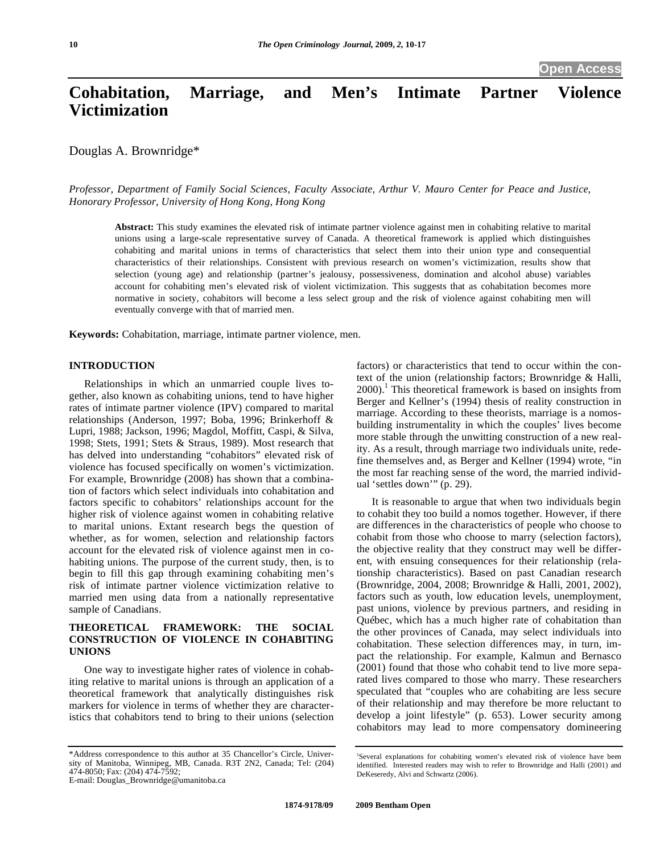# **Cohabitation, Marriage, and Men's Intimate Partner Violence Victimization**

Douglas A. Brownridge\*

*Professor, Department of Family Social Sciences, Faculty Associate, Arthur V. Mauro Center for Peace and Justice, Honorary Professor, University of Hong Kong, Hong Kong* 

**Abstract:** This study examines the elevated risk of intimate partner violence against men in cohabiting relative to marital unions using a large-scale representative survey of Canada. A theoretical framework is applied which distinguishes cohabiting and marital unions in terms of characteristics that select them into their union type and consequential characteristics of their relationships. Consistent with previous research on women's victimization, results show that selection (young age) and relationship (partner's jealousy, possessiveness, domination and alcohol abuse) variables account for cohabiting men's elevated risk of violent victimization. This suggests that as cohabitation becomes more normative in society, cohabitors will become a less select group and the risk of violence against cohabiting men will eventually converge with that of married men.

**Keywords:** Cohabitation, marriage, intimate partner violence, men.

## **INTRODUCTION**

Relationships in which an unmarried couple lives together, also known as cohabiting unions, tend to have higher rates of intimate partner violence (IPV) compared to marital relationships (Anderson, 1997; Boba, 1996; Brinkerhoff & Lupri, 1988; Jackson, 1996; Magdol, Moffitt, Caspi, & Silva, 1998; Stets, 1991; Stets & Straus, 1989). Most research that has delved into understanding "cohabitors" elevated risk of violence has focused specifically on women's victimization. For example, Brownridge (2008) has shown that a combination of factors which select individuals into cohabitation and factors specific to cohabitors' relationships account for the higher risk of violence against women in cohabiting relative to marital unions. Extant research begs the question of whether, as for women, selection and relationship factors account for the elevated risk of violence against men in cohabiting unions. The purpose of the current study, then, is to begin to fill this gap through examining cohabiting men's risk of intimate partner violence victimization relative to married men using data from a nationally representative sample of Canadians.

## **THEORETICAL FRAMEWORK: THE SOCIAL CONSTRUCTION OF VIOLENCE IN COHABITING UNIONS**

One way to investigate higher rates of violence in cohabiting relative to marital unions is through an application of a theoretical framework that analytically distinguishes risk markers for violence in terms of whether they are characteristics that cohabitors tend to bring to their unions (selection

E-mail: Douglas\_Brownridge@umanitoba.ca

factors) or characteristics that tend to occur within the context of the union (relationship factors; Brownridge & Halli, 2000).<sup>1</sup> This theoretical framework is based on insights from Berger and Kellner's (1994) thesis of reality construction in marriage. According to these theorists, marriage is a nomosbuilding instrumentality in which the couples' lives become more stable through the unwitting construction of a new reality. As a result, through marriage two individuals unite, redefine themselves and, as Berger and Kellner (1994) wrote, "in the most far reaching sense of the word, the married individual 'settles down'" (p. 29).

It is reasonable to argue that when two individuals begin to cohabit they too build a nomos together. However, if there are differences in the characteristics of people who choose to cohabit from those who choose to marry (selection factors), the objective reality that they construct may well be different, with ensuing consequences for their relationship (relationship characteristics). Based on past Canadian research (Brownridge, 2004, 2008; Brownridge & Halli, 2001, 2002), factors such as youth, low education levels, unemployment, past unions, violence by previous partners, and residing in Québec, which has a much higher rate of cohabitation than the other provinces of Canada, may select individuals into cohabitation. These selection differences may, in turn, impact the relationship. For example, Kalmun and Bernasco (2001) found that those who cohabit tend to live more separated lives compared to those who marry. These researchers speculated that "couples who are cohabiting are less secure of their relationship and may therefore be more reluctant to develop a joint lifestyle" (p. 653). Lower security among cohabitors may lead to more compensatory domineering

<sup>\*</sup>Address correspondence to this author at 35 Chancellor's Circle, University of Manitoba, Winnipeg, MB, Canada. R3T 2N2, Canada; Tel: (204) 474-8050; Fax: (204) 474-7592;

<sup>&</sup>lt;sup>1</sup>Several explanations for cohabiting women's elevated risk of violence have been identified. Interested readers may wish to refer to Brownridge and Halli (2001) and DeKeseredy, Alvi and Schwartz (2006).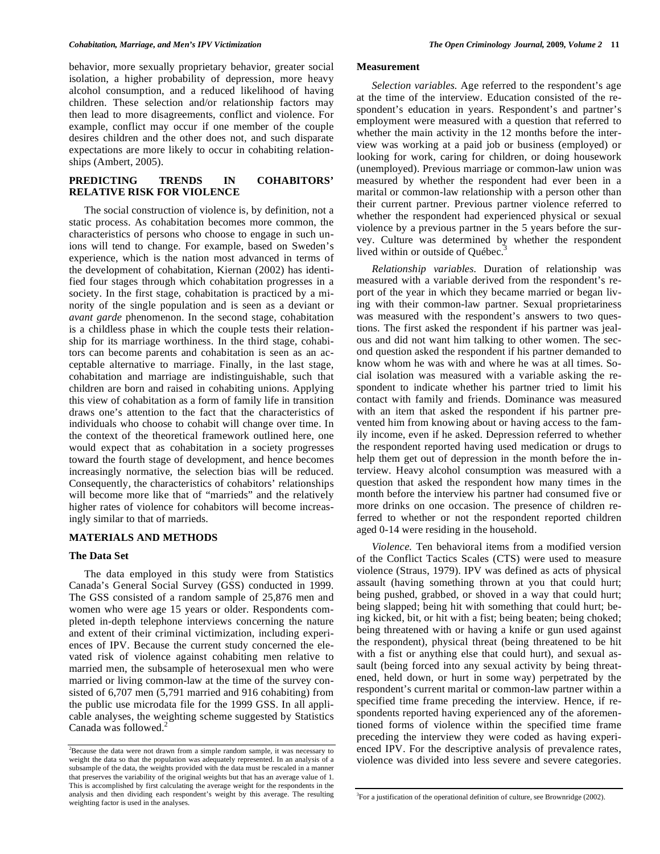behavior, more sexually proprietary behavior, greater social isolation, a higher probability of depression, more heavy alcohol consumption, and a reduced likelihood of having children. These selection and/or relationship factors may then lead to more disagreements, conflict and violence. For example, conflict may occur if one member of the couple desires children and the other does not, and such disparate expectations are more likely to occur in cohabiting relationships (Ambert, 2005).

#### **PREDICTING TRENDS IN COHABITORS' RELATIVE RISK FOR VIOLENCE**

The social construction of violence is, by definition, not a static process. As cohabitation becomes more common, the characteristics of persons who choose to engage in such unions will tend to change. For example, based on Sweden's experience, which is the nation most advanced in terms of the development of cohabitation, Kiernan (2002) has identified four stages through which cohabitation progresses in a society. In the first stage, cohabitation is practiced by a minority of the single population and is seen as a deviant or *avant garde* phenomenon. In the second stage, cohabitation is a childless phase in which the couple tests their relationship for its marriage worthiness. In the third stage, cohabitors can become parents and cohabitation is seen as an acceptable alternative to marriage. Finally, in the last stage, cohabitation and marriage are indistinguishable, such that children are born and raised in cohabiting unions. Applying this view of cohabitation as a form of family life in transition draws one's attention to the fact that the characteristics of individuals who choose to cohabit will change over time. In the context of the theoretical framework outlined here, one would expect that as cohabitation in a society progresses toward the fourth stage of development, and hence becomes increasingly normative, the selection bias will be reduced. Consequently, the characteristics of cohabitors' relationships will become more like that of "marrieds" and the relatively higher rates of violence for cohabitors will become increasingly similar to that of marrieds.

### **MATERIALS AND METHODS**

#### **The Data Set**

The data employed in this study were from Statistics Canada's General Social Survey (GSS) conducted in 1999. The GSS consisted of a random sample of 25,876 men and women who were age 15 years or older. Respondents completed in-depth telephone interviews concerning the nature and extent of their criminal victimization, including experiences of IPV. Because the current study concerned the elevated risk of violence against cohabiting men relative to married men, the subsample of heterosexual men who were married or living common-law at the time of the survey consisted of 6,707 men (5,791 married and 916 cohabiting) from the public use microdata file for the 1999 GSS. In all applicable analyses, the weighting scheme suggested by Statistics Canada was followed.<sup>2</sup>

#### **Measurement**

*Selection variables.* Age referred to the respondent's age at the time of the interview. Education consisted of the respondent's education in years. Respondent's and partner's employment were measured with a question that referred to whether the main activity in the 12 months before the interview was working at a paid job or business (employed) or looking for work, caring for children, or doing housework (unemployed). Previous marriage or common-law union was measured by whether the respondent had ever been in a marital or common-law relationship with a person other than their current partner. Previous partner violence referred to whether the respondent had experienced physical or sexual violence by a previous partner in the 5 years before the survey. Culture was determined by whether the respondent lived within or outside of Québec.<sup>3</sup>

*Relationship variables.* Duration of relationship was measured with a variable derived from the respondent's report of the year in which they became married or began living with their common-law partner. Sexual proprietariness was measured with the respondent's answers to two questions. The first asked the respondent if his partner was jealous and did not want him talking to other women. The second question asked the respondent if his partner demanded to know whom he was with and where he was at all times. Social isolation was measured with a variable asking the respondent to indicate whether his partner tried to limit his contact with family and friends. Dominance was measured with an item that asked the respondent if his partner prevented him from knowing about or having access to the family income, even if he asked. Depression referred to whether the respondent reported having used medication or drugs to help them get out of depression in the month before the interview. Heavy alcohol consumption was measured with a question that asked the respondent how many times in the month before the interview his partner had consumed five or more drinks on one occasion. The presence of children referred to whether or not the respondent reported children aged 0-14 were residing in the household.

*Violence.* Ten behavioral items from a modified version of the Conflict Tactics Scales (CTS) were used to measure violence (Straus, 1979). IPV was defined as acts of physical assault (having something thrown at you that could hurt; being pushed, grabbed, or shoved in a way that could hurt; being slapped; being hit with something that could hurt; being kicked, bit, or hit with a fist; being beaten; being choked; being threatened with or having a knife or gun used against the respondent), physical threat (being threatened to be hit with a fist or anything else that could hurt), and sexual assault (being forced into any sexual activity by being threatened, held down, or hurt in some way) perpetrated by the respondent's current marital or common-law partner within a specified time frame preceding the interview. Hence, if respondents reported having experienced any of the aforementioned forms of violence within the specified time frame preceding the interview they were coded as having experienced IPV. For the descriptive analysis of prevalence rates, violence was divided into less severe and severe categories.

 $2^2$ Because the data were not drawn from a simple random sample, it was necessary to weight the data so that the population was adequately represented. In an analysis of a subsample of the data, the weights provided with the data must be rescaled in a manner that preserves the variability of the original weights but that has an average value of 1. This is accomplished by first calculating the average weight for the respondents in the analysis and then dividing each respondent's weight by this average. The resulting weighting factor is used in the analyses.

<sup>&</sup>lt;sup>3</sup>For a justification of the operational definition of culture, see Brownridge (2002).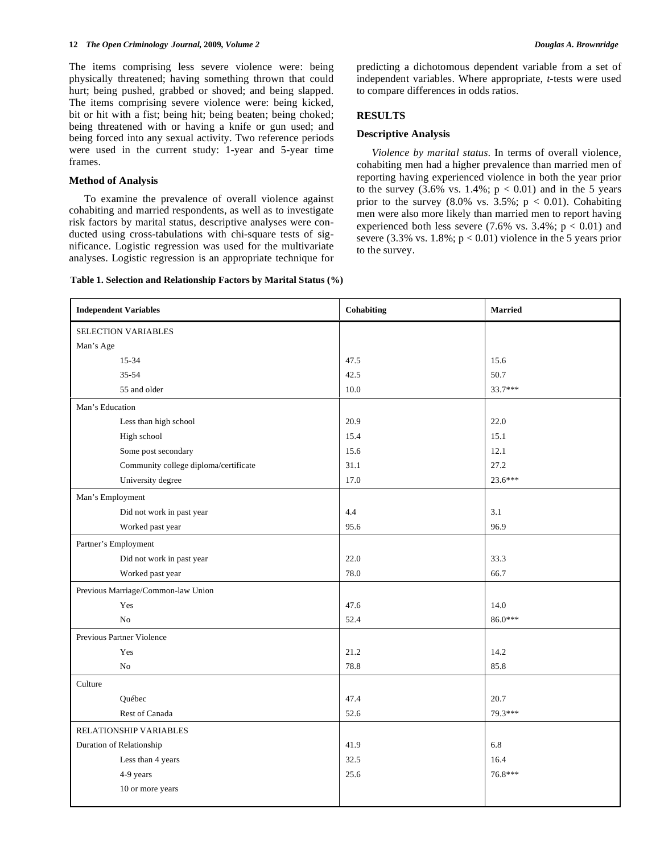The items comprising less severe violence were: being physically threatened; having something thrown that could hurt; being pushed, grabbed or shoved; and being slapped. The items comprising severe violence were: being kicked, bit or hit with a fist; being hit; being beaten; being choked; being threatened with or having a knife or gun used; and being forced into any sexual activity. Two reference periods were used in the current study: 1-year and 5-year time frames.

#### **Method of Analysis**

To examine the prevalence of overall violence against cohabiting and married respondents, as well as to investigate risk factors by marital status, descriptive analyses were conducted using cross-tabulations with chi-square tests of significance. Logistic regression was used for the multivariate analyses. Logistic regression is an appropriate technique for predicting a dichotomous dependent variable from a set of independent variables. Where appropriate, *t-*tests were used to compare differences in odds ratios.

#### **RESULTS**

#### **Descriptive Analysis**

*Violence by marital status*. In terms of overall violence, cohabiting men had a higher prevalence than married men of reporting having experienced violence in both the year prior to the survey  $(3.6\% \text{ vs. } 1.4\%; \text{ p} < 0.01)$  and in the 5 years prior to the survey  $(8.0\% \text{ vs. } 3.5\%; \text{ p} < 0.01)$ . Cohabiting men were also more likely than married men to report having experienced both less severe  $(7.6\% \text{ vs. } 3.4\%; \text{ p} < 0.01)$  and severe (3.3% vs.  $1.8\%$ ;  $p < 0.01$ ) violence in the 5 years prior to the survey.

| Table 1. Selection and Relationship Factors by Marital Status (%) |  |
|-------------------------------------------------------------------|--|
|-------------------------------------------------------------------|--|

| <b>Independent Variables</b>          | Cohabiting | <b>Married</b> |
|---------------------------------------|------------|----------------|
| SELECTION VARIABLES                   |            |                |
| Man's Age                             |            |                |
| 15-34                                 | 47.5       | 15.6           |
| $35 - 54$                             | 42.5       | 50.7           |
| 55 and older                          | 10.0       | 33.7***        |
| Man's Education                       |            |                |
| Less than high school                 | 20.9       | 22.0           |
| High school                           | 15.4       | 15.1           |
| Some post secondary                   | 15.6       | 12.1           |
| Community college diploma/certificate | 31.1       | 27.2           |
| University degree                     | 17.0       | 23.6***        |
| Man's Employment                      |            |                |
| Did not work in past year             | 4.4        | 3.1            |
| Worked past year                      | 95.6       | 96.9           |
| Partner's Employment                  |            |                |
| Did not work in past year             | 22.0       | 33.3           |
| Worked past year                      | 78.0       | 66.7           |
| Previous Marriage/Common-law Union    |            |                |
| Yes                                   | 47.6       | 14.0           |
| No                                    | 52.4       | 86.0***        |
| Previous Partner Violence             |            |                |
| Yes                                   | 21.2       | 14.2           |
| No                                    | 78.8       | 85.8           |
| Culture                               |            |                |
| Québec                                | 47.4       | 20.7           |
| Rest of Canada                        | 52.6       | 79.3***        |
| RELATIONSHIP VARIABLES                |            |                |
| Duration of Relationship              | 41.9       | 6.8            |
| Less than 4 years                     | 32.5       | 16.4           |
| 4-9 years                             | 25.6       | 76.8***        |
| 10 or more years                      |            |                |
|                                       |            |                |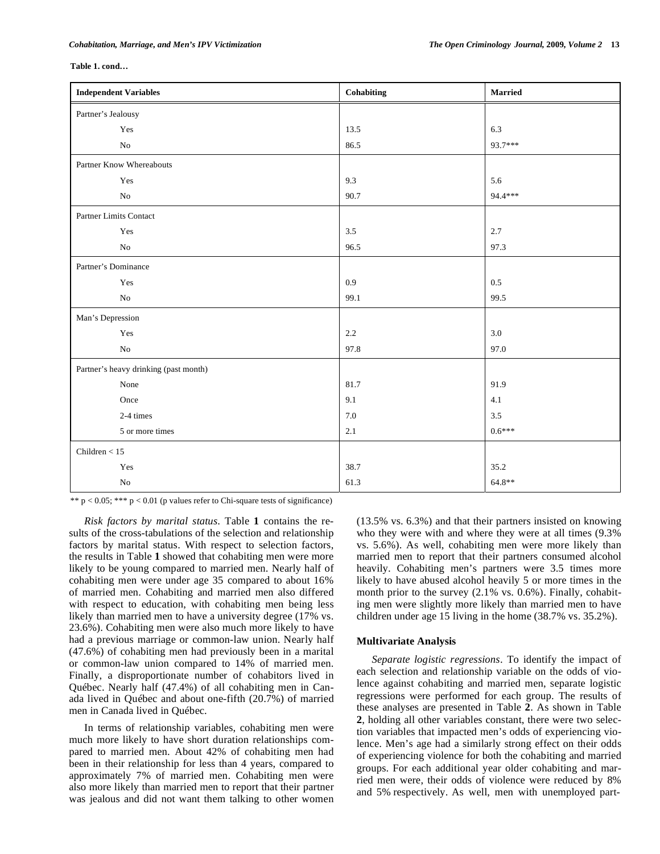#### **Table 1. cond…**

| <b>Independent Variables</b>          | Cohabiting | <b>Married</b> |
|---------------------------------------|------------|----------------|
| Partner's Jealousy                    |            |                |
| Yes                                   | 13.5       | 6.3            |
| $\rm No$                              | 86.5       | 93.7***        |
| Partner Know Whereabouts              |            |                |
| Yes                                   | 9.3        | 5.6            |
| $\rm No$                              | 90.7       | 94.4 ***       |
| Partner Limits Contact                |            |                |
| Yes                                   | 3.5        | 2.7            |
| $\rm No$                              | 96.5       | 97.3           |
| Partner's Dominance                   |            |                |
| Yes                                   | 0.9        | 0.5            |
| $\rm No$                              | 99.1       | 99.5           |
| Man's Depression                      |            |                |
| Yes                                   | 2.2        | 3.0            |
| $\rm No$                              | 97.8       | 97.0           |
| Partner's heavy drinking (past month) |            |                |
| None                                  | 81.7       | 91.9           |
| Once                                  | 9.1        | 4.1            |
| 2-4 times                             | 7.0        | 3.5            |
| 5 or more times                       | 2.1        | $0.6***$       |
| Children $<$ 15                       |            |                |
| Yes                                   | 38.7       | 35.2           |
| $\rm No$                              | 61.3       | 64.8**         |

\*\*  $p < 0.05$ ; \*\*\*  $p < 0.01$  (p values refer to Chi-square tests of significance)

*Risk factors by marital status*. Table **1** contains the results of the cross-tabulations of the selection and relationship factors by marital status. With respect to selection factors, the results in Table **1** showed that cohabiting men were more likely to be young compared to married men. Nearly half of cohabiting men were under age 35 compared to about 16% of married men. Cohabiting and married men also differed with respect to education, with cohabiting men being less likely than married men to have a university degree (17% vs. 23.6%). Cohabiting men were also much more likely to have had a previous marriage or common-law union. Nearly half (47.6%) of cohabiting men had previously been in a marital or common-law union compared to 14% of married men. Finally, a disproportionate number of cohabitors lived in Québec. Nearly half (47.4%) of all cohabiting men in Canada lived in Québec and about one-fifth (20.7%) of married men in Canada lived in Québec.

In terms of relationship variables, cohabiting men were much more likely to have short duration relationships compared to married men. About 42% of cohabiting men had been in their relationship for less than 4 years, compared to approximately 7% of married men. Cohabiting men were also more likely than married men to report that their partner was jealous and did not want them talking to other women (13.5% vs. 6.3%) and that their partners insisted on knowing who they were with and where they were at all times (9.3% vs. 5.6%). As well, cohabiting men were more likely than married men to report that their partners consumed alcohol heavily. Cohabiting men's partners were 3.5 times more likely to have abused alcohol heavily 5 or more times in the month prior to the survey (2.1% vs. 0.6%). Finally, cohabiting men were slightly more likely than married men to have children under age 15 living in the home (38.7% vs. 35.2%).

#### **Multivariate Analysis**

*Separate logistic regressions*. To identify the impact of each selection and relationship variable on the odds of violence against cohabiting and married men, separate logistic regressions were performed for each group. The results of these analyses are presented in Table **2**. As shown in Table **2**, holding all other variables constant, there were two selection variables that impacted men's odds of experiencing violence. Men's age had a similarly strong effect on their odds of experiencing violence for both the cohabiting and married groups. For each additional year older cohabiting and married men were, their odds of violence were reduced by 8% and 5% respectively. As well, men with unemployed part-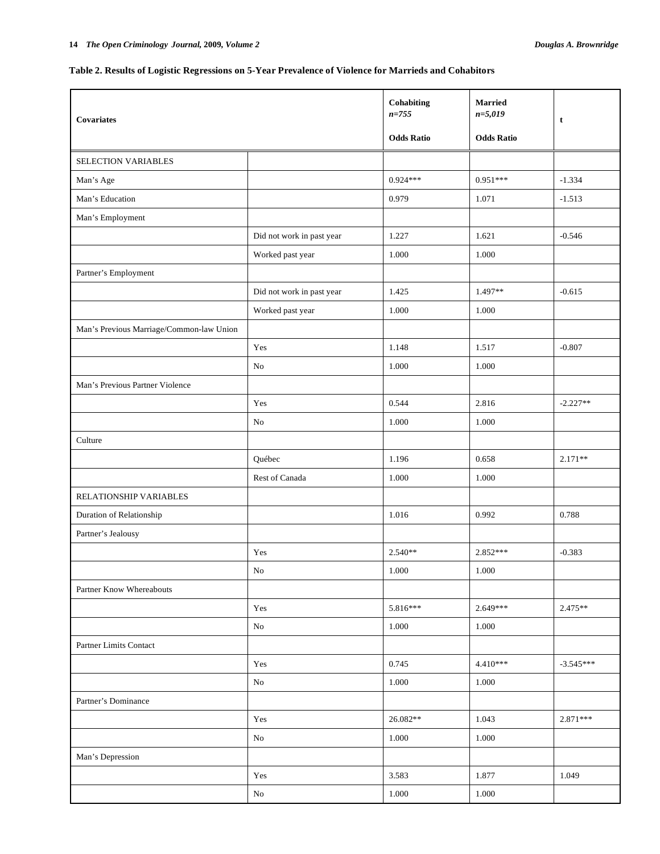## **Table 2. Results of Logistic Regressions on 5-Year Prevalence of Violence for Marrieds and Cohabitors**

| <b>Covariates</b>                        | Cohabiting<br>$n = 755$   | <b>Married</b><br>$n = 5,019$ | t                 |             |
|------------------------------------------|---------------------------|-------------------------------|-------------------|-------------|
|                                          |                           | <b>Odds Ratio</b>             | <b>Odds Ratio</b> |             |
| SELECTION VARIABLES                      |                           |                               |                   |             |
| Man's Age                                |                           | $0.924***$                    | $0.951***$        | $-1.334$    |
| Man's Education                          |                           | 0.979                         | 1.071             | $-1.513$    |
| Man's Employment                         |                           |                               |                   |             |
|                                          | Did not work in past year | 1.227                         | 1.621             | $-0.546$    |
|                                          | Worked past year          | 1.000                         | 1.000             |             |
| Partner's Employment                     |                           |                               |                   |             |
|                                          | Did not work in past year | 1.425                         | 1.497**           | $-0.615$    |
|                                          | Worked past year          | 1.000                         | 1.000             |             |
| Man's Previous Marriage/Common-law Union |                           |                               |                   |             |
|                                          | Yes                       | 1.148                         | 1.517             | $-0.807$    |
|                                          | N <sub>0</sub>            | 1.000                         | 1.000             |             |
| Man's Previous Partner Violence          |                           |                               |                   |             |
|                                          | Yes                       | 0.544                         | 2.816             | $-2.227**$  |
|                                          | No                        | 1.000                         | 1.000             |             |
| Culture                                  |                           |                               |                   |             |
|                                          | Québec                    | 1.196                         | 0.658             | $2.171**$   |
|                                          | Rest of Canada            | 1.000                         | 1.000             |             |
| RELATIONSHIP VARIABLES                   |                           |                               |                   |             |
| Duration of Relationship                 |                           | 1.016                         | 0.992             | 0.788       |
| Partner's Jealousy                       |                           |                               |                   |             |
|                                          | Yes                       | $2.540**$                     | 2.852***          | $-0.383$    |
|                                          | $\rm No$                  | $1.000\,$                     | $1.000\,$         |             |
| Partner Know Whereabouts                 |                           |                               |                   |             |
|                                          | Yes                       | 5.816***                      | $2.649***$        | $2.475**$   |
|                                          | $\rm No$                  | 1.000                         | 1.000             |             |
| Partner Limits Contact                   |                           |                               |                   |             |
|                                          | Yes                       | 0.745                         | $4.410***$        | $-3.545***$ |
|                                          | $\rm No$                  | $1.000\,$                     | $1.000\,$         |             |
| Partner's Dominance                      |                           |                               |                   |             |
|                                          | Yes                       | 26.082**                      | 1.043             | $2.871***$  |
|                                          | $\rm No$                  | 1.000                         | $1.000\,$         |             |
| Man's Depression                         |                           |                               |                   |             |
|                                          | Yes                       | 3.583                         | 1.877             | 1.049       |
|                                          | $\rm No$                  | 1.000                         | 1.000             |             |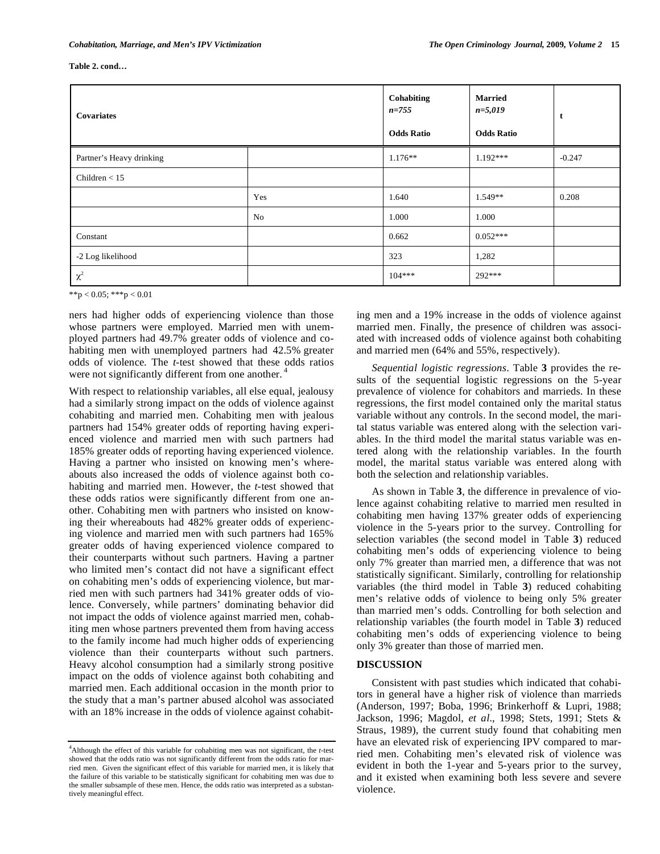#### **Table 2. cond…**

| <b>Covariates</b>        |     | Cohabiting<br>$n = 755$<br><b>Odds Ratio</b> | <b>Married</b><br>$n=5,019$<br><b>Odds Ratio</b> | t        |
|--------------------------|-----|----------------------------------------------|--------------------------------------------------|----------|
| Partner's Heavy drinking |     | $1.176**$                                    | $1.192***$                                       | $-0.247$ |
| Children $<$ 15          |     |                                              |                                                  |          |
|                          | Yes | 1.640                                        | $1.549**$                                        | 0.208    |
|                          | No  | 1.000                                        | 1.000                                            |          |
| Constant                 |     | 0.662                                        | $0.052***$                                       |          |
| -2 Log likelihood        |     | 323                                          | 1,282                                            |          |
| $\chi^2$                 |     | $104***$                                     | 292***                                           |          |

\*\*p < 0.05; \*\*\*p < 0.01

ners had higher odds of experiencing violence than those whose partners were employed. Married men with unemployed partners had 49.7% greater odds of violence and cohabiting men with unemployed partners had 42.5% greater odds of violence. The *t*-test showed that these odds ratios were not significantly different from one another.<sup>4</sup>

With respect to relationship variables, all else equal, jealousy had a similarly strong impact on the odds of violence against cohabiting and married men. Cohabiting men with jealous partners had 154% greater odds of reporting having experienced violence and married men with such partners had 185% greater odds of reporting having experienced violence. Having a partner who insisted on knowing men's whereabouts also increased the odds of violence against both cohabiting and married men. However, the *t*-test showed that these odds ratios were significantly different from one another. Cohabiting men with partners who insisted on knowing their whereabouts had 482% greater odds of experiencing violence and married men with such partners had 165% greater odds of having experienced violence compared to their counterparts without such partners. Having a partner who limited men's contact did not have a significant effect on cohabiting men's odds of experiencing violence, but married men with such partners had 341% greater odds of violence. Conversely, while partners' dominating behavior did not impact the odds of violence against married men, cohabiting men whose partners prevented them from having access to the family income had much higher odds of experiencing violence than their counterparts without such partners. Heavy alcohol consumption had a similarly strong positive impact on the odds of violence against both cohabiting and married men. Each additional occasion in the month prior to the study that a man's partner abused alcohol was associated with an 18% increase in the odds of violence against cohabit-

4 Although the effect of this variable for cohabiting men was not significant, the *t*-test showed that the odds ratio was not significantly different from the odds ratio for married men. Given the significant effect of this variable for married men, it is likely that the failure of this variable to be statistically significant for cohabiting men was due to the smaller subsample of these men. Hence, the odds ratio was interpreted as a substantively meaningful effect.

ing men and a 19% increase in the odds of violence against married men. Finally, the presence of children was associated with increased odds of violence against both cohabiting and married men (64% and 55%, respectively).

*Sequential logistic regressions*. Table **3** provides the results of the sequential logistic regressions on the 5-year prevalence of violence for cohabitors and marrieds. In these regressions, the first model contained only the marital status variable without any controls. In the second model, the marital status variable was entered along with the selection variables. In the third model the marital status variable was entered along with the relationship variables. In the fourth model, the marital status variable was entered along with both the selection and relationship variables.

As shown in Table **3**, the difference in prevalence of violence against cohabiting relative to married men resulted in cohabiting men having 137% greater odds of experiencing violence in the 5-years prior to the survey. Controlling for selection variables (the second model in Table **3**) reduced cohabiting men's odds of experiencing violence to being only 7% greater than married men, a difference that was not statistically significant. Similarly, controlling for relationship variables (the third model in Table **3**) reduced cohabiting men's relative odds of violence to being only 5% greater than married men's odds. Controlling for both selection and relationship variables (the fourth model in Table **3**) reduced cohabiting men's odds of experiencing violence to being only 3% greater than those of married men.

#### **DISCUSSION**

Consistent with past studies which indicated that cohabitors in general have a higher risk of violence than marrieds (Anderson, 1997; Boba, 1996; Brinkerhoff & Lupri, 1988; Jackson, 1996; Magdol, *et al*., 1998; Stets, 1991; Stets & Straus, 1989), the current study found that cohabiting men have an elevated risk of experiencing IPV compared to married men. Cohabiting men's elevated risk of violence was evident in both the 1-year and 5-years prior to the survey, and it existed when examining both less severe and severe violence.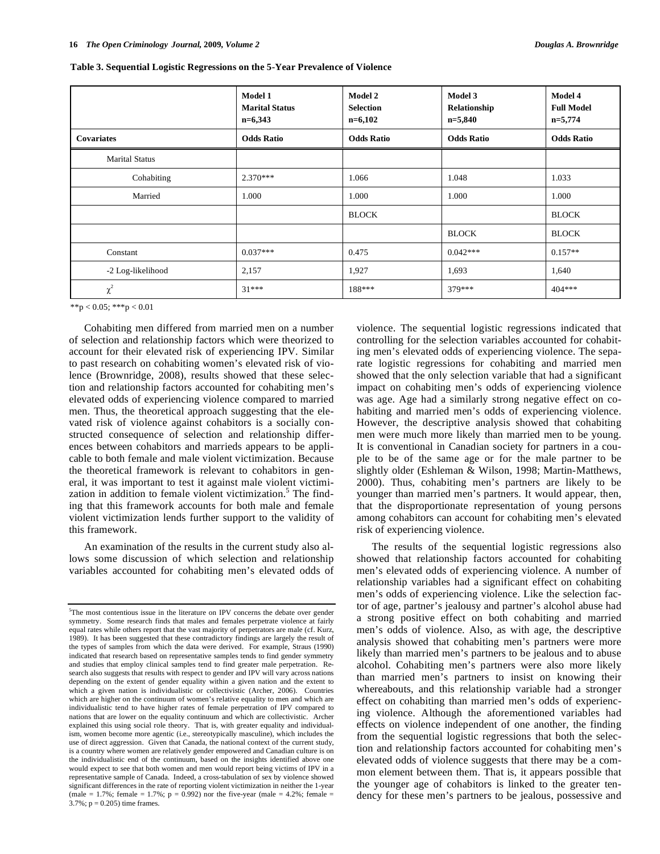|                       | Model 1<br><b>Marital Status</b><br>$n=6,343$ | <b>Model 2</b><br><b>Selection</b><br>$n=6,102$ | Model 3<br>Relationship<br>$n=5,840$ | <b>Model 4</b><br><b>Full Model</b><br>$n=5,774$ |
|-----------------------|-----------------------------------------------|-------------------------------------------------|--------------------------------------|--------------------------------------------------|
| <b>Covariates</b>     | <b>Odds Ratio</b>                             | <b>Odds Ratio</b>                               | <b>Odds Ratio</b>                    | <b>Odds Ratio</b>                                |
| <b>Marital Status</b> |                                               |                                                 |                                      |                                                  |
| Cohabiting            | $2.370***$<br>1.066                           |                                                 | 1.048                                | 1.033                                            |
| Married               | 1.000                                         | 1.000                                           | 1.000                                | 1.000                                            |
|                       |                                               | <b>BLOCK</b>                                    |                                      | <b>BLOCK</b>                                     |
|                       |                                               |                                                 | <b>BLOCK</b>                         | <b>BLOCK</b>                                     |
| Constant              | $0.037***$                                    | 0.475                                           | $0.042***$                           | $0.157**$                                        |
| -2 Log-likelihood     | 2,157                                         | 1,927                                           | 1,693                                | 1,640                                            |
| $\chi^2$              | $31***$                                       | 188***                                          | 379***                               | $404***$                                         |

|  |  | Table 3. Sequential Logistic Regressions on the 5-Year Prevalence of Violence |  |
|--|--|-------------------------------------------------------------------------------|--|
|  |  |                                                                               |  |

 $**p < 0.05$ ;  $***p < 0.01$ 

Cohabiting men differed from married men on a number of selection and relationship factors which were theorized to account for their elevated risk of experiencing IPV. Similar to past research on cohabiting women's elevated risk of violence (Brownridge, 2008), results showed that these selection and relationship factors accounted for cohabiting men's elevated odds of experiencing violence compared to married men. Thus, the theoretical approach suggesting that the elevated risk of violence against cohabitors is a socially constructed consequence of selection and relationship differences between cohabitors and marrieds appears to be applicable to both female and male violent victimization. Because the theoretical framework is relevant to cohabitors in general, it was important to test it against male violent victimization in addition to female violent victimization.<sup>5</sup> The finding that this framework accounts for both male and female violent victimization lends further support to the validity of this framework.

An examination of the results in the current study also allows some discussion of which selection and relationship variables accounted for cohabiting men's elevated odds of violence. The sequential logistic regressions indicated that controlling for the selection variables accounted for cohabiting men's elevated odds of experiencing violence. The separate logistic regressions for cohabiting and married men showed that the only selection variable that had a significant impact on cohabiting men's odds of experiencing violence was age. Age had a similarly strong negative effect on cohabiting and married men's odds of experiencing violence. However, the descriptive analysis showed that cohabiting men were much more likely than married men to be young. It is conventional in Canadian society for partners in a couple to be of the same age or for the male partner to be slightly older (Eshleman & Wilson, 1998; Martin-Matthews, 2000). Thus, cohabiting men's partners are likely to be younger than married men's partners. It would appear, then, that the disproportionate representation of young persons among cohabitors can account for cohabiting men's elevated risk of experiencing violence.

The results of the sequential logistic regressions also showed that relationship factors accounted for cohabiting men's elevated odds of experiencing violence. A number of relationship variables had a significant effect on cohabiting men's odds of experiencing violence. Like the selection factor of age, partner's jealousy and partner's alcohol abuse had a strong positive effect on both cohabiting and married men's odds of violence. Also, as with age, the descriptive analysis showed that cohabiting men's partners were more likely than married men's partners to be jealous and to abuse alcohol. Cohabiting men's partners were also more likely than married men's partners to insist on knowing their whereabouts, and this relationship variable had a stronger effect on cohabiting than married men's odds of experiencing violence. Although the aforementioned variables had effects on violence independent of one another, the finding from the sequential logistic regressions that both the selection and relationship factors accounted for cohabiting men's elevated odds of violence suggests that there may be a common element between them. That is, it appears possible that the younger age of cohabitors is linked to the greater tendency for these men's partners to be jealous, possessive and

<sup>&</sup>lt;sup>5</sup>The most contentious issue in the literature on IPV concerns the debate over gender symmetry. Some research finds that males and females perpetrate violence at fairly equal rates while others report that the vast majority of perpetrators are male (cf. Kurz, 1989). It has been suggested that these contradictory findings are largely the result of the types of samples from which the data were derived. For example, Straus (1990) indicated that research based on representative samples tends to find gender symmetry and studies that employ clinical samples tend to find greater male perpetration. Research also suggests that results with respect to gender and IPV will vary across nations depending on the extent of gender equality within a given nation and the extent to which a given nation is individualistic or collectivistic (Archer, 2006). Countries which are higher on the continuum of women's relative equality to men and which are individualistic tend to have higher rates of female perpetration of IPV compared to nations that are lower on the equality continuum and which are collectivistic. Archer explained this using social role theory. That is, with greater equality and individualism, women become more agentic (i.e., stereotypically masculine), which includes the use of direct aggression. Given that Canada, the national context of the current study, is a country where women are relatively gender empowered and Canadian culture is on the individualistic end of the continuum, based on the insights identified above one would expect to see that both women and men would report being victims of IPV in a representative sample of Canada. Indeed, a cross-tabulation of sex by violence showed significant differences in the rate of reporting violent victimization in neither the 1-year (male = 1.7%; female = 1.7%;  $p = 0.992$ ) nor the five-year (male = 4.2%; female =  $3.7\%$ ;  $p = 0.205$ ) time frames.